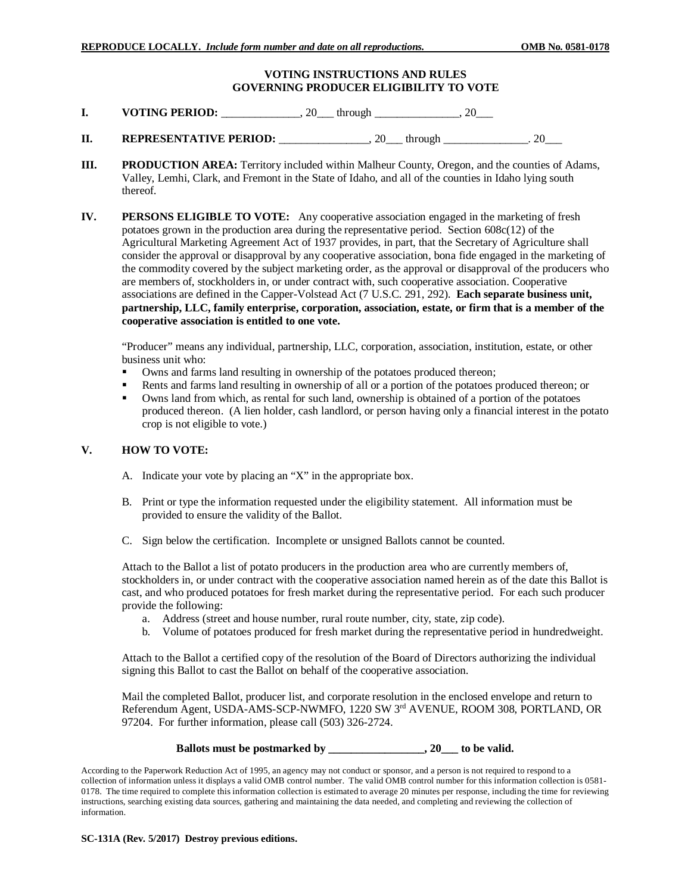## **VOTING INSTRUCTIONS AND RULES GOVERNING PRODUCER ELIGIBILITY TO VOTE**

| л.          | <b>VOTING PERIOD:</b>         | 20 | through   |         |  |
|-------------|-------------------------------|----|-----------|---------|--|
| $\mathbf H$ | <b>REPRESENTATIVE PERIOD:</b> |    | າເ<br>ZV. | through |  |

- **III. PRODUCTION AREA:** Territory included within Malheur County, Oregon, and the counties of Adams, Valley, Lemhi, Clark, and Fremont in the State of Idaho, and all of the counties in Idaho lying south thereof.
- **IV. PERSONS ELIGIBLE TO VOTE:** Any cooperative association engaged in the marketing of fresh potatoes grown in the production area during the representative period. Section 608c(12) of the Agricultural Marketing Agreement Act of 1937 provides, in part, that the Secretary of Agriculture shall consider the approval or disapproval by any cooperative association, bona fide engaged in the marketing of the commodity covered by the subject marketing order, as the approval or disapproval of the producers who are members of, stockholders in, or under contract with, such cooperative association. Cooperative associations are defined in the Capper-Volstead Act (7 U.S.C. 291, 292). **Each separate business unit, partnership, LLC, family enterprise, corporation, association, estate, or firm that is a member of the cooperative association is entitled to one vote.**

"Producer" means any individual, partnership, LLC, corporation, association, institution, estate, or other business unit who:

- Owns and farms land resulting in ownership of the potatoes produced thereon;
- Rents and farms land resulting in ownership of all or a portion of the potatoes produced thereon; or
- Owns land from which, as rental for such land, ownership is obtained of a portion of the potatoes produced thereon. (A lien holder, cash landlord, or person having only a financial interest in the potato crop is not eligible to vote.)

## **V. HOW TO VOTE:**

- A. Indicate your vote by placing an "X" in the appropriate box.
- B. Print or type the information requested under the eligibility statement. All information must be provided to ensure the validity of the Ballot.
- C. Sign below the certification. Incomplete or unsigned Ballots cannot be counted.

Attach to the Ballot a list of potato producers in the production area who are currently members of, stockholders in, or under contract with the cooperative association named herein as of the date this Ballot is cast, and who produced potatoes for fresh market during the representative period. For each such producer provide the following:

- a. Address (street and house number, rural route number, city, state, zip code).
- b. Volume of potatoes produced for fresh market during the representative period in hundredweight.

Attach to the Ballot a certified copy of the resolution of the Board of Directors authorizing the individual signing this Ballot to cast the Ballot on behalf of the cooperative association.

Mail the completed Ballot, producer list, and corporate resolution in the enclosed envelope and return to Referendum Agent, USDA-AMS-SCP-NWMFO, 1220 SW 3rd AVENUE, ROOM 308, PORTLAND, OR 97204. For further information, please call (503) 326-2724.

| Ballots must be postmarked by |  | to be valid. |
|-------------------------------|--|--------------|
|-------------------------------|--|--------------|

According to the Paperwork Reduction Act of 1995, an agency may not conduct or sponsor, and a person is not required to respond to a collection of information unless it displays a valid OMB control number. The valid OMB control number for this information collection is 0581- 0178. The time required to complete this information collection is estimated to average 20 minutes per response, including the time for reviewing instructions, searching existing data sources, gathering and maintaining the data needed, and completing and reviewing the collection of information.